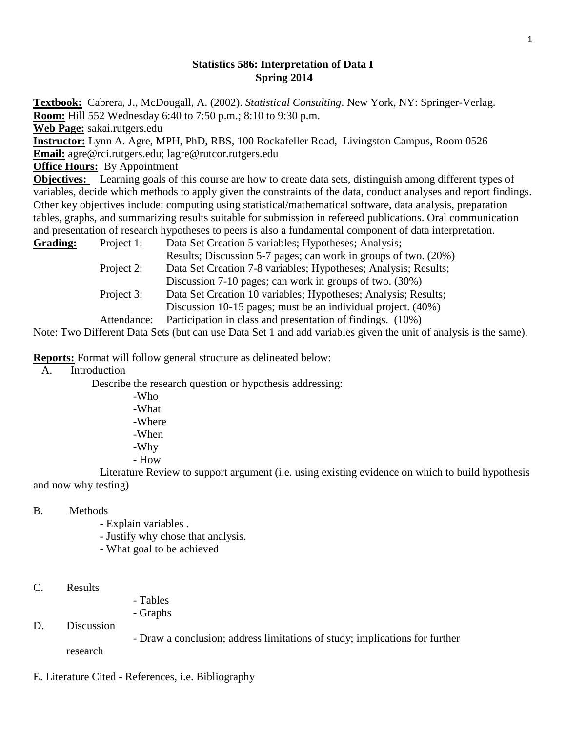## **Statistics 586: Interpretation of Data I Spring 2014**

**Textbook:** Cabrera, J., McDougall, A. (2002). *Statistical Consulting*. New York, NY: Springer-Verlag. **Room:** Hill 552 Wednesday 6:40 to 7:50 p.m.; 8:10 to 9:30 p.m. **Web Page:** sakai.rutgers.edu **Instructor:** Lynn A. Agre, MPH, PhD, RBS, 100 Rockafeller Road, Livingston Campus, Room 0526 **Email:** agre@rci.rutgers.edu; lagre@rutcor.rutgers.edu **Office Hours:** By Appointment **Objectives:** Learning goals of this course are how to create data sets, distinguish among different types of variables, decide which methods to apply given the constraints of the data, conduct analyses and report findings. Other key objectives include: computing using statistical/mathematical software, data analysis, preparation

tables, graphs, and summarizing results suitable for submission in refereed publications. Oral communication and presentation of research hypotheses to peers is also a fundamental component of data interpretation.

| <b>Grading:</b> | Project 1:  | Data Set Creation 5 variables; Hypotheses; Analysis;            |
|-----------------|-------------|-----------------------------------------------------------------|
|                 |             | Results; Discussion 5-7 pages; can work in groups of two. (20%) |
|                 | Project 2:  | Data Set Creation 7-8 variables; Hypotheses; Analysis; Results; |
|                 |             | Discussion 7-10 pages; can work in groups of two. (30%)         |
|                 | Project 3:  | Data Set Creation 10 variables; Hypotheses; Analysis; Results;  |
|                 |             | Discussion 10-15 pages; must be an individual project. (40%)    |
|                 | Attendance: | Participation in class and presentation of findings. (10%)      |

Note: Two Different Data Sets (but can use Data Set 1 and add variables given the unit of analysis is the same).

**Reports:** Format will follow general structure as delineated below:

A. Introduction

Describe the research question or hypothesis addressing:

-Who -What -Where -When -Why - How

Literature Review to support argument (i.e. using existing evidence on which to build hypothesis and now why testing)

## B. Methods

- Explain variables .
- Justify why chose that analysis.
- What goal to be achieved
- C. Results
- Tables
- Graphs
- D. Discussion
- Draw a conclusion; address limitations of study; implications for further

research

E. Literature Cited - References, i.e. Bibliography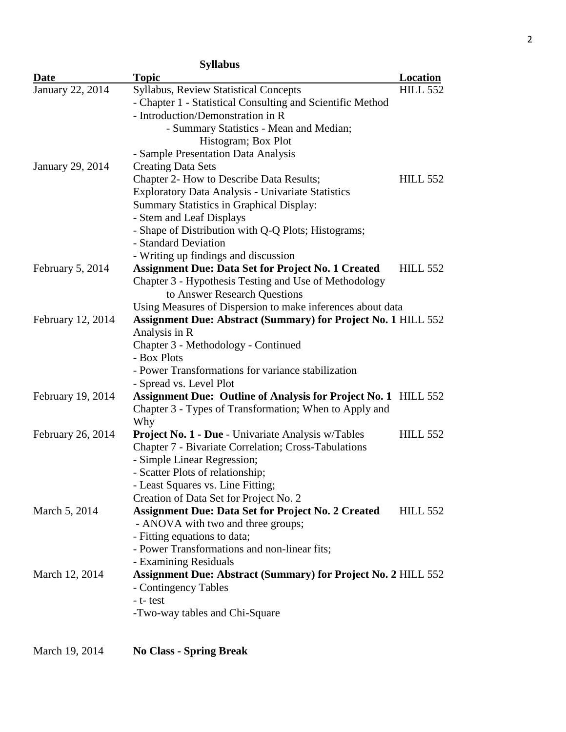| <b>Syllabus</b>   |                                                                       |                 |  |  |
|-------------------|-----------------------------------------------------------------------|-----------------|--|--|
| Date              | <b>Topic</b>                                                          | Location        |  |  |
| January 22, 2014  | <b>Syllabus, Review Statistical Concepts</b>                          | <b>HILL 552</b> |  |  |
|                   | - Chapter 1 - Statistical Consulting and Scientific Method            |                 |  |  |
|                   | - Introduction/Demonstration in R                                     |                 |  |  |
|                   | - Summary Statistics - Mean and Median;                               |                 |  |  |
|                   | Histogram; Box Plot                                                   |                 |  |  |
|                   | - Sample Presentation Data Analysis                                   |                 |  |  |
| January 29, 2014  | <b>Creating Data Sets</b>                                             |                 |  |  |
|                   | Chapter 2- How to Describe Data Results;                              | <b>HILL 552</b> |  |  |
|                   | <b>Exploratory Data Analysis - Univariate Statistics</b>              |                 |  |  |
|                   | <b>Summary Statistics in Graphical Display:</b>                       |                 |  |  |
|                   | - Stem and Leaf Displays                                              |                 |  |  |
|                   | - Shape of Distribution with Q-Q Plots; Histograms;                   |                 |  |  |
|                   | - Standard Deviation                                                  |                 |  |  |
|                   | - Writing up findings and discussion                                  |                 |  |  |
| February 5, 2014  | <b>Assignment Due: Data Set for Project No. 1 Created</b>             | <b>HILL 552</b> |  |  |
|                   | Chapter 3 - Hypothesis Testing and Use of Methodology                 |                 |  |  |
|                   | to Answer Research Questions                                          |                 |  |  |
|                   | Using Measures of Dispersion to make inferences about data            |                 |  |  |
| February 12, 2014 | <b>Assignment Due: Abstract (Summary) for Project No. 1 HILL 552</b>  |                 |  |  |
|                   | Analysis in R                                                         |                 |  |  |
|                   | Chapter 3 - Methodology - Continued                                   |                 |  |  |
|                   | - Box Plots                                                           |                 |  |  |
|                   | - Power Transformations for variance stabilization                    |                 |  |  |
|                   | - Spread vs. Level Plot                                               |                 |  |  |
| February 19, 2014 | <b>Assignment Due: Outline of Analysis for Project No. 1 HILL 552</b> |                 |  |  |
|                   | Chapter 3 - Types of Transformation; When to Apply and                |                 |  |  |
|                   | Why                                                                   |                 |  |  |
| February 26, 2014 | <b>Project No. 1 - Due</b> - Univariate Analysis w/Tables             | <b>HILL 552</b> |  |  |
|                   | <b>Chapter 7 - Bivariate Correlation; Cross-Tabulations</b>           |                 |  |  |
|                   | - Simple Linear Regression;                                           |                 |  |  |
|                   | - Scatter Plots of relationship;                                      |                 |  |  |
|                   | - Least Squares vs. Line Fitting;                                     |                 |  |  |
|                   | Creation of Data Set for Project No. 2                                |                 |  |  |
| March 5, 2014     | <b>Assignment Due: Data Set for Project No. 2 Created</b>             | <b>HILL 552</b> |  |  |
|                   | - ANOVA with two and three groups;<br>- Fitting equations to data;    |                 |  |  |
|                   | - Power Transformations and non-linear fits;                          |                 |  |  |
|                   | - Examining Residuals                                                 |                 |  |  |
| March 12, 2014    | <b>Assignment Due: Abstract (Summary) for Project No. 2 HILL 552</b>  |                 |  |  |
|                   | - Contingency Tables                                                  |                 |  |  |
|                   | - t- test                                                             |                 |  |  |
|                   | -Two-way tables and Chi-Square                                        |                 |  |  |
|                   |                                                                       |                 |  |  |
|                   |                                                                       |                 |  |  |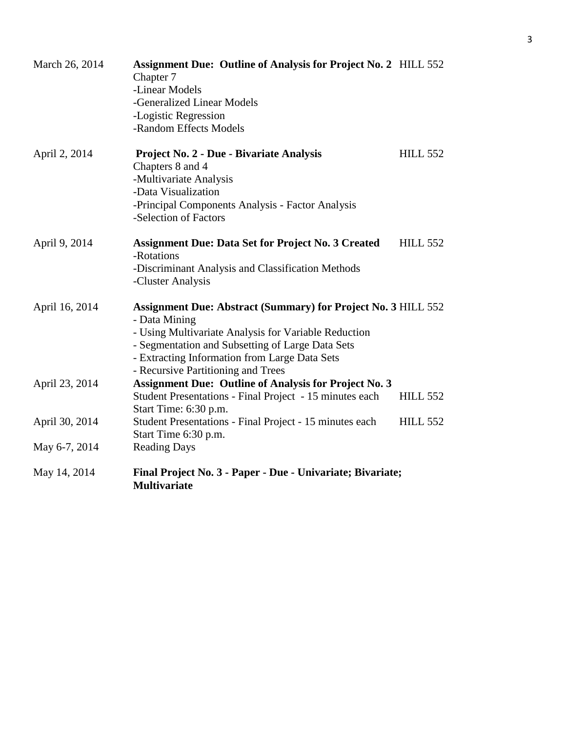| March 26, 2014 | <b>Assignment Due: Outline of Analysis for Project No. 2 HILL 552</b><br>Chapter 7    |                 |
|----------------|---------------------------------------------------------------------------------------|-----------------|
|                | -Linear Models                                                                        |                 |
|                | -Generalized Linear Models                                                            |                 |
|                | -Logistic Regression                                                                  |                 |
|                | -Random Effects Models                                                                |                 |
| April 2, 2014  | Project No. 2 - Due - Bivariate Analysis                                              | <b>HILL 552</b> |
|                | Chapters 8 and 4                                                                      |                 |
|                | -Multivariate Analysis                                                                |                 |
|                | -Data Visualization                                                                   |                 |
|                | -Principal Components Analysis - Factor Analysis<br>-Selection of Factors             |                 |
| April 9, 2014  | <b>Assignment Due: Data Set for Project No. 3 Created</b>                             | <b>HILL 552</b> |
|                | -Rotations                                                                            |                 |
|                | -Discriminant Analysis and Classification Methods                                     |                 |
|                | -Cluster Analysis                                                                     |                 |
| April 16, 2014 | <b>Assignment Due: Abstract (Summary) for Project No. 3 HILL 552</b><br>- Data Mining |                 |
|                | - Using Multivariate Analysis for Variable Reduction                                  |                 |
|                | - Segmentation and Subsetting of Large Data Sets                                      |                 |
|                | - Extracting Information from Large Data Sets                                         |                 |
|                | - Recursive Partitioning and Trees                                                    |                 |
| April 23, 2014 | <b>Assignment Due: Outline of Analysis for Project No. 3</b>                          |                 |
|                | Student Presentations - Final Project - 15 minutes each                               | <b>HILL 552</b> |
|                | Start Time: 6:30 p.m.                                                                 |                 |
| April 30, 2014 | Student Presentations - Final Project - 15 minutes each                               | <b>HILL 552</b> |
|                | Start Time 6:30 p.m.                                                                  |                 |
| May 6-7, 2014  | <b>Reading Days</b>                                                                   |                 |
| May 14, 2014   | Final Project No. 3 - Paper - Due - Univariate; Bivariate;<br><b>Multivariate</b>     |                 |
|                |                                                                                       |                 |